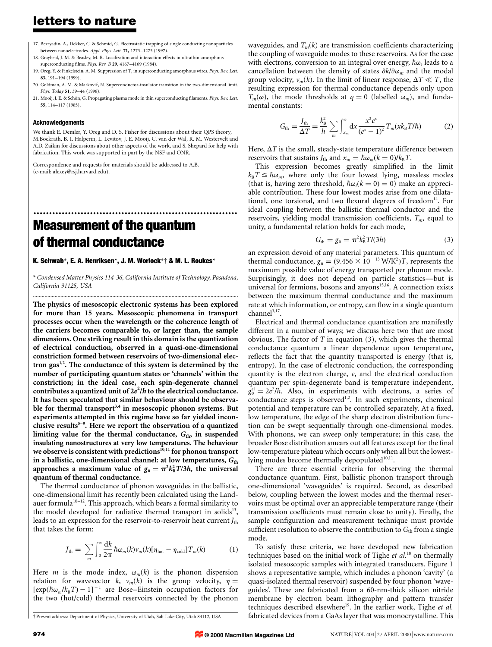## letters to nature

- 17. Bezryadin, A., Dekker, C. & Schmid, G. Electrostatic trapping of single conducting nanoparticles between nanoelectrodes. Appl. Phys. Lett. 71, 1273-1275 (1997).
- 18. Graybeal, J. M. & Beasley, M. R. Localization and interaction effects in ultrathin amorphous superconducting films. Phys. Rev. B 29, 4167-4169 (1984).
- 19. Oreg, Y. & Finkelstein, A. M. Suppression of  $T_c$  in superconducting amorphous wires. Phys. Rev. Lett. 83, 191-194 (1999).
- 20. Goldman, A. M. & Marković, N. Superconductor-insulator transition in the two-dimensional limit Phys. Today 51, 39-44 (1998).
- 21. Mooij, J. E. & Schön, G. Propagating plasma mode in thin superconducting filaments. Phys. Rev. Lett. 55, 114±117 (1985).

#### Acknowledgements

We thank E. Demler, Y. Oreg and D. S. Fisher for discussions about their QPS theory, M.Bockrath, B. I. Halperin, L. Levitov, J. E. Mooij, C. van der Wal, R. M. Westervelt and A.D. Zaikin for discussions about other aspects of the work, and S. Shepard for help with fabrication. This work was supported in part by the NSF and ONR.

.................................................................

Correspondence and requests for materials should be addressed to A.B. (e-mail: alexey@rsj.harvard.edu).

# Measurement of the quantum of thermal conductance

K. Schwab\*, E. A. Henriksen\*, J. M. Worlock\*† & M. L. Roukes\*

\* Condensed Matter Physics 114-36, California Institute of Technology, Pasadena, California 91125, USA ..............................................................................................................................................

The physics of mesoscopic electronic systems has been explored for more than 15 years. Mesoscopic phenomena in transport processes occur when the wavelength or the coherence length of the carriers becomes comparable to, or larger than, the sample dimensions. One striking result in this domain is the quantization of electrical conduction, observed in a quasi-one-dimensional constriction formed between reservoirs of two-dimensional electron gas<sup>1,2</sup>. The conductance of this system is determined by the number of participating quantum states or `channels' within the constriction; in the ideal case, each spin-degenerate channel contributes a quantized unit of  $2e^2/h$  to the electrical conductance. It has been speculated that similar behaviour should be observable for thermal transport<sup>3,4</sup> in mesoscopic phonon systems. But experiments attempted in this regime have so far yielded inconclusive results<sup>5-9</sup>. Here we report the observation of a quantized limiting value for the thermal conductance,  $G_{\text{th}}$ , in suspended insulating nanostructures at very low temperatures. The behaviour we observe is consistent with predictions<sup>10,11</sup> for phonon transport in a ballistic, one-dimensional channel: at low temperatures,  $G_{\text{th}}$ approaches a maximum value of  $g_0 = \pi^2 k_B^2 T/3h$ , the universal quantum of thermal conductance.

The thermal conductance of phonon waveguides in the ballistic, one-dimensional limit has recently been calculated using the Landauer formula<sup>10-12</sup>. This approach, which bears a formal similarity to the model developed for radiative thermal transport in solids<sup>13</sup>, leads to an expression for the reservoir-to-reservoir heat current  $J_{\text{th}}$ that takes the form:

$$
J_{\text{th}} = \sum_{m} \int_{0}^{\infty} \frac{dk}{2\pi} \hbar \omega_{m}(k) \nu_{m}(k) [\eta_{\text{hot}} - \eta_{\text{cold}}] T_{m}(k) \tag{1}
$$

Here *m* is the mode index,  $\omega_m(k)$  is the phonon dispersion relation for wavevector k,  $v_m(k)$  is the group velocity,  $\eta =$  $[\exp(\hbar\omega_m/k_BT) - 1]^{-1}$  are Bose–Einstein occupation factors for the two (hot/cold) thermal reservoirs connected by the phonon waveguides, and  $T_m(k)$  are transmission coefficients characterizing the coupling of waveguide modes to these reservoirs. As for the case with electrons, conversion to an integral over energy,  $\hbar \omega$ , leads to a cancellation between the density of states  $\partial k/\partial \omega_m$  and the modal group velocity,  $v_m(k)$ . In the limit of linear response,  $\Delta T \ll T$ , the resulting expression for thermal conductance depends only upon  $T_m(\omega)$ , the mode thresholds at  $q = 0$  (labelled  $\omega_m$ ), and fundamental constants:

$$
G_{\text{th}} = \frac{J_{\text{th}}}{\Delta T} = \frac{k_{\text{B}}^2}{h} \sum_{m} \int_{x_{m}}^{\infty} dx \frac{x^2 e^x}{(e^x - 1)^2} T_m(x k_{\text{B}} T/\hbar)
$$
(2)

Here,  $\Delta T$  is the small, steady-state temperature difference between reservoirs that sustains  $J_{\text{th}}$  and  $x_m = \hbar \omega_m (k = 0)/k_B T$ .

This expression becomes greatly simplified in the limit  $k_{\rm B}T \leq \hbar \omega_m$ , where only the four lowest lying, massless modes (that is, having zero threshold,  $\hbar \omega_i(k = 0) = 0$ ) make an appreciable contribution. These four lowest modes arise from one dilatational, one torsional, and two flexural degrees of freedom $^{14}$ . For ideal coupling between the ballistic thermal conductor and the reservoirs, yielding modal transmission coefficients,  $T_m$ , equal to unity, a fundamental relation holds for each mode,

$$
G_{\text{th}} = g_0 = \pi^2 k_B^2 T / (3h)
$$
 (3)

an expression devoid of any material parameters. This quantum of thermal conductance,  $g_0 = (9.456 \times 10^{-13} \text{ W/K}^2)T$ , represents the maximum possible value of energy transported per phonon mode. Surprisingly, it does not depend on particle statistics-but is universal for fermions, bosons and anyons<sup>15,16</sup>. A connection exists between the maximum thermal conductance and the maximum rate at which information, or entropy, can flow in a single quantum  $channel<sup>3,17</sup>$ .

Electrical and thermal conductance quantization are manifestly different in a number of ways; we discuss here two that are most obvious. The factor of  $T$  in equation (3), which gives the thermal conductance quantum a linear dependence upon temperature, reflects the fact that the quantity transported is energy (that is, entropy). In the case of electronic conduction, the corresponding quantity is the electron charge, e, and the electrical conduction quantum per spin-degenerate band is temperature independent,  $g_0^{\text{el}} = 2e^2/h$ . Also, in experiments with electrons, a series of conductance steps is observed<sup>1,2</sup>. In such experiments, chemical potential and temperature can be controlled separately. At a fixed, low temperature, the edge of the sharp electron distribution function can be swept sequentially through one-dimensional modes. With phonons, we can sweep only temperature; in this case, the broader Bose distribution smears out all features except for the final low-temperature plateau which occurs only when all but the lowestlying modes become thermally depopulated<sup>10,11</sup>.

There are three essential criteria for observing the thermal conductance quantum. First, ballistic phonon transport through one-dimensional `waveguides' is required. Second, as described below, coupling between the lowest modes and the thermal reservoirs must be optimal over an appreciable temperature range (their transmission coefficients must remain close to unity). Finally, the sample configuration and measurement technique must provide sufficient resolution to observe the contribution to  $G<sub>th</sub>$  from a single mode.

To satisfy these criteria, we have developed new fabrication techniques based on the initial work of Tighe et  $al$ .<sup>18</sup> on thermally isolated mesoscopic samples with integrated transducers. Figure 1 shows a representative sample, which includes a phonon `cavity' (a quasi-isolated thermal reservoir) suspended by four phonon `waveguides'. These are fabricated from a 60-nm-thick silicon nitride membrane by electron beam lithography and pattern transfer techniques described elsewhere<sup>19</sup>. In the earlier work, Tighe et al. fabricated devices from a GaAs layer that was monocrystalline. This

**© 2000 Macmillan Magazines Ltd**

² Present address: Department of Physics, University of Utah, Salt Lake City, Utah 84112, USA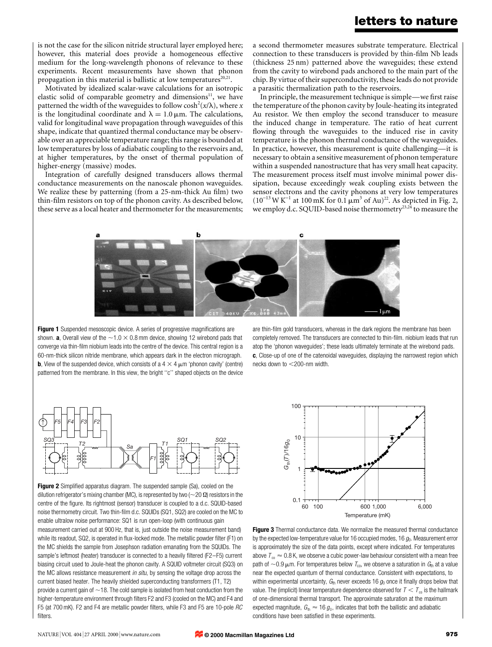### letters to nature

is not the case for the silicon nitride structural layer employed here; however, this material does provide a homogeneous effective medium for the long-wavelength phonons of relevance to these experiments. Recent measurements have shown that phonon propagation in this material is ballistic at low temperatures $20,21$ .

Motivated by idealized scalar-wave calculations for an isotropic elastic solid of comparable geometry and dimensions $11$ , we have patterned the width of the waveguides to follow  $\cosh^2(x/\lambda)$ , where x is the longitudinal coordinate and  $\lambda = 1.0 \,\mu\text{m}$ . The calculations, valid for longitudinal wave propagation through waveguides of this shape, indicate that quantized thermal conductance may be observable over an appreciable temperature range; this range is bounded at low temperatures by loss of adiabatic coupling to the reservoirs and, at higher temperatures, by the onset of thermal population of higher-energy (massive) modes.

Integration of carefully designed transducers allows thermal conductance measurements on the nanoscale phonon waveguides. We realize these by patterning (from a 25-nm-thick Au film) two thin-film resistors on top of the phonon cavity. As described below, these serve as a local heater and thermometer for the measurements; a second thermometer measures substrate temperature. Electrical connection to these transducers is provided by thin-film Nb leads (thickness 25 nm) patterned above the waveguides; these extend from the cavity to wirebond pads anchored to the main part of the chip. By virtue of their superconductivity, these leads do not provide a parasitic thermalization path to the reservoirs.

In principle, the measurement technique is simple—we first raise the temperature of the phonon cavity by Joule-heating its integrated Au resistor. We then employ the second transducer to measure the induced change in temperature. The ratio of heat current flowing through the waveguides to the induced rise in cavity temperature is the phonon thermal conductance of the waveguides. In practice, however, this measurement is quite challenging—it is necessary to obtain a sensitive measurement of phonon temperature within a suspended nanostructure that has very small heat capacity. The measurement process itself must involve minimal power dissipation, because exceedingly weak coupling exists between the sensor electrons and the cavity phonons at very low temperatures  $(10^{-13} W K^{-1}$  at 100 mK for 0.1  $\mu$ m<sup>3</sup> of Au)<sup>22</sup>. As depicted in Fig. 2, we employ d.c. SQUID-based noise thermometry<sup>23,24</sup> to measure the



Figure 1 Suspended mesoscopic device. A series of progressive magnifications are shown. **a**, Overall view of the  $\sim$ 1.0  $\times$  0.8 mm device, showing 12 wirebond pads that converge via thin-film niobium leads into the centre of the device. This central region is a 60-nm-thick silicon nitride membrane, which appears dark in the electron micrograph. **b**, View of the suspended device, which consists of a  $4 \times 4 \mu$ m 'phonon cavity' (centre) patterned from the membrane. In this view, the bright "c" shaped objects on the device

are thin-film gold transducers, whereas in the dark regions the membrane has been completely removed. The transducers are connected to thin-film. niobium leads that run atop the `phonon waveguides'; these leads ultimately terminate at the wirebond pads. c, Close-up of one of the catenoidal waveguides, displaying the narrowest region which necks down to <200-nm width.



Figure 2 Simplified apparatus diagram. The suspended sample (Sa), cooled on the dilution refrigerator's mixing chamber (MC), is represented by two ( $\sim$ 20  $\Omega$ ) resistors in the centre of the figure. Its rightmost (sensor) transducer is coupled to a d.c. SQUID-based noise thermometry circuit. Two thin-film d.c. SQUIDs (SQ1, SQ2) are cooled on the MC to enable ultralow noise performance: SQ1 is run open-loop (with continuous gain measurement carried out at 900 Hz, that is, just outside the noise measurement band) while its readout, SQ2, is operated in flux-locked mode. The metallic powder filter (F1) on the MC shields the sample from Josephson radiation emanating from the SQUIDs. The sample's leftmost (heater) transducer is connected to a heavily filtered (F2-F5) current biasing circuit used to Joule-heat the phonon cavity. A SQUID voltmeter circuit (SQ3) on the MC allows resistance measurement in situ, by sensing the voltage drop across the current biased heater. The heavily shielded superconducting transformers (T1, T2) provide a current gain of  $\sim$ 18. The cold sample is isolated from heat conduction from the higher-temperature environment through filters F2 and F3 (cooled on the MC) and F4 and F5 (at 700 mK). F2 and F4 are metallic powder filters, while F3 and F5 are 10-pole RC



Figure 3 Thermal conductance data. We normalize the measured thermal conductance by the expected low-temperature value for 16 occupied modes, 16  $g<sub>0</sub>$ . Measurement error is approximately the size of the data points, except where indicated. For temperatures above  $T_{\infty} \approx 0.8$  K, we observe a cubic power-law behaviour consistent with a mean free path of  $\sim$ 0.9  $\mu$ m. For temperatures below  $T_{\text{co}}$ , we observe a saturation in  $G_{\text{th}}$  at a value near the expected quantum of thermal conductance. Consistent with expectations, to within experimental uncertainty,  $G_{\text{th}}$  never exceeds 16  $g_0$  once it finally drops below that value. The (implicit) linear temperature dependence observed for  $T < T_{\infty}$  is the hallmark of one-dimensional thermal transport. The approximate saturation at the maximum expected magnitude,  $G_{\text{th}} \approx 16 g_0$ , indicates that both the ballistic and adiabatic conditions have been satisfied in these experiments.

filters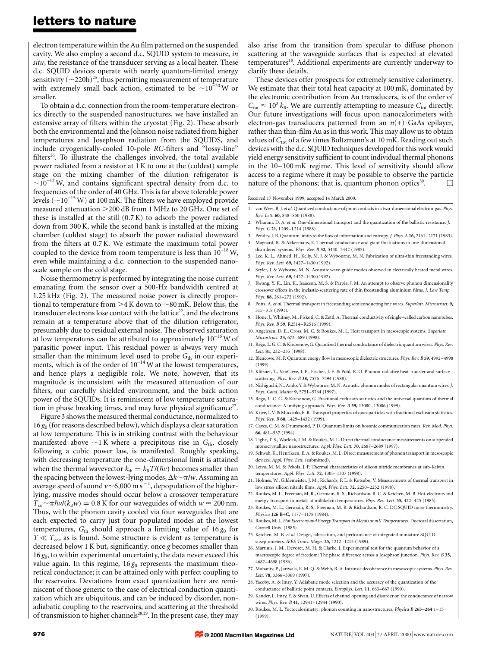### letters to nature

electron temperature within the Au film patterned on the suspended cavity. We also employ a second d.c. SQUID system to measure, in situ, the resistance of the transducer serving as a local heater. These d.c. SQUID devices operate with nearly quantum-limited energy sensitivity ( $\sim$ 220h)<sup>25</sup>, thus permitting measurement of temperature with extremely small back action, estimated to be  $\sim 10^{-20}$  W or smaller.

To obtain a d.c. connection from the room-temperature electronics directly to the suspended nanostructures, we have installed an extensive array of filters within the cryostat (Fig. 2). These absorb both the environmental and the Johnson noise radiated from higher temperatures and Josephson radiation from the SQUIDS, and include cryogenically-cooled 10-pole RC-filters and "lossy-line" filters<sup>26</sup>. To illustrate the challenges involved, the total available power radiated from a resistor at 1 K to one at the (coldest) sample stage on the mixing chamber of the dilution refrigerator is  $\sim$ 10<sup>-12</sup> W, and contains significant spectral density from d.c. to frequencies of the order of 40 GHz. This is far above tolerable power levels ( $\sim$ 10<sup>-15</sup> W) at 100 mK. The filters we have employed provide measured attenuation  $>$  200 dB from 1 MHz to 20 GHz. One set of these is installed at the still (0.7 K) to adsorb the power radiated down from 300 K, while the second bank is installed at the mixing chamber (coldest stage) to absorb the power radiated downward from the filters at 0.7 K. We estimate the maximum total power coupled to the device from room temperature is less than  $10^{-18}$  W, even while maintaining a d.c. connection to the suspended nanoscale sample on the cold stage.

Noise thermometry is performed by integrating the noise current emanating from the sensor over a 500-Hz bandwidth centred at 1.25 kHz (Fig. 2). The measured noise power is directly proportional to temperature from  $>4 K$  down to  $\sim 80$  mK. Below this, the transducer electrons lose contact with the lattice<sup>22</sup>, and the electrons remain at a temperature above that of the dilution refrigerator, presumably due to residual external noise. The observed saturation at low temperatures can be attributed to approximately  $10^{-16}$  W of parasitic power input. This residual power is always very much smaller than the minimum level used to probe  $G<sub>th</sub>$  in our experiments, which is of the order of  $10^{-14}$  W at the lowest temperatures, and hence plays a negligible role. We note, however, that its magnitude is inconsistent with the measured attenuation of our filters, our carefully shielded environment, and the back action power of the SQUIDs. It is reminiscent of low temperature saturation in phase breaking times, and may have physical significance<sup>27</sup>.

Figure 3 shows the measured thermal conductance, normalized to 16  $g_0$  (for reasons described below), which displays a clear saturation at low temperature. This is in striking contrast with the behaviour manifested above  $\sim$ 1 K where a precipitous rise in  $G_{\text{th}}$ , closely following a cubic power law, is manifested. Roughly speaking, with decreasing temperature the one-dimensional limit is attained when the thermal wavevector  $k_{th} = k_{\text{B}} T/(\hbar v)$  becomes smaller than the spacing between the lowest-lying modes,  $\Delta k \sim \pi/w$ . Assuming an average speed of sound  $\nu$   $\sim$  6,000 m s  $^{-1}$ , depopulation of the higherlying, massive modes should occur below a crossover temperature  $T_{\rm co} \sim \pi \hbar v / (k_{\rm B} w) = 0.8$  K for our waveguides of width  $w \approx 200$  nm. Thus, with the phonon cavity cooled via four waveguides that are each expected to carry just four populated modes at the lowest temperatures,  $G_{\text{th}}$  should approach a limiting value of 16  $g_0$  for  $T \ll T_{\rm co}$ , as is found. Some structure is evident as temperature is decreased below 1 K but, significantly, once  $g$  becomes smaller than  $16 g<sub>0</sub>$ , to within experimental uncertainty, the data never exceed this value again. In this regime,  $16 g<sub>0</sub>$  represents the maximum theoretical conductance; it can be attained only with perfect coupling to the reservoirs. Deviations from exact quantization here are reminiscent of those generic to the case of electrical conduction quantization which are ubiquitous, and can be induced by disorder, nonadiabatic coupling to the reservoirs, and scattering at the threshold of transmission to higher channels<sup>28,29</sup>. In the present case, they may

also arise from the transition from specular to diffuse phonon scattering at the waveguide surfaces that is expected at elevated temperatures<sup>18</sup>. Additional experiments are currently underway to clarify these details.

These devices offer prospects for extremely sensitive calorimetry. We estimate that their total heat capacity at 100 mK, dominated by the electronic contribution from Au transducers, is of the order of  $C_{\text{tot}} \approx 10^3 k_B$ . We are currently attempting to measure  $C_{\text{tot}}$  directly. Our future investigations will focus upon nanocalorimeters with electron-gas transducers patterned from an  $n(+)$  GaAs epilayer, rather than thin-film Au as in this work. This may allow us to obtain values of  $C_{\text{tot}}$  of a few times Boltzmann's at 10 mK. Reading out such devices with the d.c. SQUID techniques developed for this work would yield energy sensitivity sufficient to count individual thermal phonons in the 10-100 mK regime. This level of sensitivity should allow access to a regime where it may be possible to observe the particle nature of the phonons; that is, quantum phonon optics<sup>30</sup>.  $\Box$ 

Received 17 November 1999; accepted 14 March 2000.

- 1. van Wees, B. J. et al. Quantized conductance of point contacts in a two-dimensional electron-gas. Phys. Rev. Lett. 60, 848-850 (1988).
- 2. Wharam, D. A. et al. One-dimensional transport and the quantization of the ballistic resistance. *I*. Phys. C 21, L209-L214 (1988).
- 3. Pendry, J. B. Quantum limits to the flow of information and entropy. J. Phys. A 16, 2161-2171 (1983).
- 4. Maynard, R. & Akkermans, E. Thermal conductance and giant fluctuations in one-dimensional disordered systems. Phys. Rev. B 32, 5440-5442 (1985).
- 5. Lee, K. L., Ahmed, H., Kelly, M. J. & Wybourne, M. N. Fabrication of ultra-thin freestanding wires. Phys. Rev. Lett. 69, 1427-1430 (1992).
- 6. Seyler, J. & Wyborne, M. N. Acoustic wave-guide modes observed in electrically heated metal wires. Phys. Rev. Lett. 69, 1427-1430 (1992).
- 7. Kwong, Y. K., Lin, K., Isaacson, M. S. & Parpia, J. M. An attempt to observe phonon dimensionality crossover effects in the inelastic-scattering rate of thin freestanding aluminium films. J. Low Temp. Phys. 88, 261-272 (1992).
- 8. Potts, A. et al. Thermal transport in freestanding semiconducting fine wires. Superlatt. Microstruct. 9, 315±318 (1991).
- 9. Hone, J., Whitney, M., Piskoti, C. & Zettl, A. Thermal conductivity of single-walled carbon nanotubes. Phys. Rev. B 59, R2514-R2516 (1999).
- 10. Angelescu, D. E., Cross, M. C. & Roukes, M. L. Heat transport in mesoscopic systems. Superlatt. Microstruct. 23, 673-689 (1998).
- 11. Rego, L. G. C. & Kirczenow, G. Quantized thermal conductance of dielectric quantum wires. Phys. Rev. Lett. 81, 232-235 (1998).
- 12. Blencowe, M. P. Quantum energy flow in mesoscopic dielectric structures. Phys. Rev. B 59, 4992-4998 (1999).
- 13. Klitsner, T., VanCleve, J. E., Fischer, J. E. & Pohl, R. O. Phonon radiative heat-transfer and surface scattering. Phys. Rev. B 38, 7576-7594 (1988).
- 14. Nishiguchi, N., Ando, Y. & Wybourne, M. N. Acoustic phonon modes of rectangular quantum wires. J. Phys. Cond. Matter 9, 5751-5764 (1997).
- 15. Rego, L. C. G. & Kirczenow, G. Fractional exclusion statistics and the universal quantum of thermal conductance: A unifying approach. Phys. Rev. B 59, 13080-13086 (1999).
- 16. Krive, I. V. & Mucciolo, E. R. Transport properties of quasiparticles with fractional exclusion statistics. Phys. Rev. B 60, 1429-1432 (1999).
- 17. Caves, C. M. & Drummond, P. D. Quantum limits on bosonic communication rates. Rev. Mod. Phys. 66, 481±537 (1994).
- 18. Tighe, T. S., Worlock, J. M. & Roukes, M. L. Direct thermal conductance measurements on suspended monocrystalline nanostructures. Appl. Phys. Lett. 70, 2687-2689 (1997).
- 19. Schwab, K., Henriksen, E. A. & Roukes, M. L. Direct measurement of phonon transport in mesoscopic devices. Appl. Phys. Lett. (submitted).
- 20. Leivo, M. M. & Pekola, J. P. Thermal characteristics of silicon nitride membranes at sub-Kelvin temperatures. Appl. Phys. Lett. 72, 1305-1307 (1998).
- 21. Holmes, W., Gildemeister, J. M., Richards, P. L. & Kotsubo, V. Measurements of thermal transport in low stress silicon nitride films. Appl. Phys. Lett. 72, 2250-2252 (1998).
- 22. Roukes, M. L., Freeman, M. R., Germain, R. S., Richardson, R. C. & Ketchen, M. B. Hot-electrons and energy-transport in metals at millikelvin temperatures. Phys. Rev. Lett. 55, 422-425 (1985).
- 23. Roukes, M. L., Germain, R. S., Freeman, M. R. & Richardson, R. C. DC SQUID noise thermometry. Physica 126 B+C, 1177-1178 (1984).
- 24. Roukes, M. L. Hot Electrons and Energy Transport in Metals at mK Temperatures. Doctoral dissertation, Cornell Univ. (1985).
- 25. Ketchen, M. B. et al. Design, fabrication, and performance of integrated miniature SQUID suseptometers. IEEE Trans. Magn. 25, 1212-1215 (1989).
- 26. Martinis, J. M., Devoret, M. H. & Clarke, J. Experimental test for the quantum behavior of a macroscopic degree of freedom: The phase difference across a Josephson junction. Phys. Rev. B 35, 4682±4698 (1986).
- 27. Mohanty, P., Jariwala, E. M. Q. & Webb, R. A. Intrinsic decoherence in mesoscopic systems. Phys. Rev. Lett. 78, 3366-3369 (1997).
- 28. Yacoby, A. & Imry, Y. Adiabatic mode selection and the accuracy of the quantization of the conductance of ballistic point contacts. Europhys. Lett. 11, 663-667 (1990).
- 29. Kander, I., Imry, Y. & Sivan, U. Effects of channel opening and disorder on the conductance of narrow wires. Phys. Rev. B 41, 12941-12944 (1990).
- 30. Roukes, M. L. Yoctocalorimetry: phonon counting in nanostructures. Physica B 263-264 1-15 (1999).